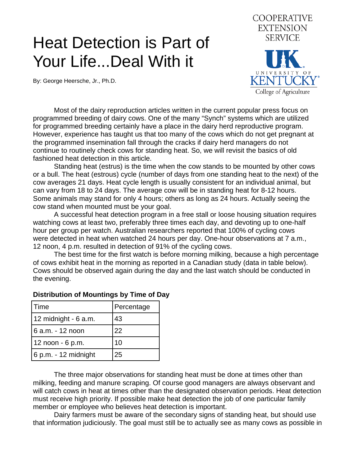## Heat Detection is Part of Your Life...Deal With it

By: George Heersche, Jr., Ph.D.



 Most of the dairy reproduction articles written in the current popular press focus on programmed breeding of dairy cows. One of the many "Synch" systems which are utilized for programmed breeding certainly have a place in the dairy herd reproductive program. However, experience has taught us that too many of the cows which do not get pregnant at the programmed insemination fall through the cracks if dairy herd managers do not continue to routinely check cows for standing heat. So, we will revisit the basics of old fashioned heat detection in this article.

 Standing heat (estrus) is the time when the cow stands to be mounted by other cows or a bull. The heat (estrous) cycle (number of days from one standing heat to the next) of the cow averages 21 days. Heat cycle length is usually consistent for an individual animal, but can vary from 18 to 24 days. The average cow will be in standing heat for 8-12 hours. Some animals may stand for only 4 hours; others as long as 24 hours. Actually seeing the cow stand when mounted must be your goal.

 A successful heat detection program in a free stall or loose housing situation requires watching cows at least two, preferably three times each day, and devoting up to one-half hour per group per watch. Australian researchers reported that 100% of cycling cows were detected in heat when watched 24 hours per day. One-hour observations at 7 a.m., 12 noon, 4 p.m. resulted in detection of 91% of the cycling cows.

 The best time for the first watch is before morning milking, because a high percentage of cows exhibit heat in the morning as reported in a Canadian study (data in table below). Cows should be observed again during the day and the last watch should be conducted in the evening.

| Time                   | Percentage |
|------------------------|------------|
| 12 midnight - 6 a.m.   | 43         |
| 6 a.m. - 12 noon       | 22         |
| 12 noon - 6 p.m.       | 10         |
| $6$ p.m. - 12 midnight | 25         |

## **Distribution of Mountings by Time of Day**

The three major observations for standing heat must be done at times other than milking, feeding and manure scraping. Of course good managers are always observant and will catch cows in heat at times other than the designated observation periods. Heat detection must receive high priority. If possible make heat detection the job of one particular family member or employee who believes heat detection is important.

 Dairy farmers must be aware of the secondary signs of standing heat, but should use that information judiciously. The goal must still be to actually see as many cows as possible in